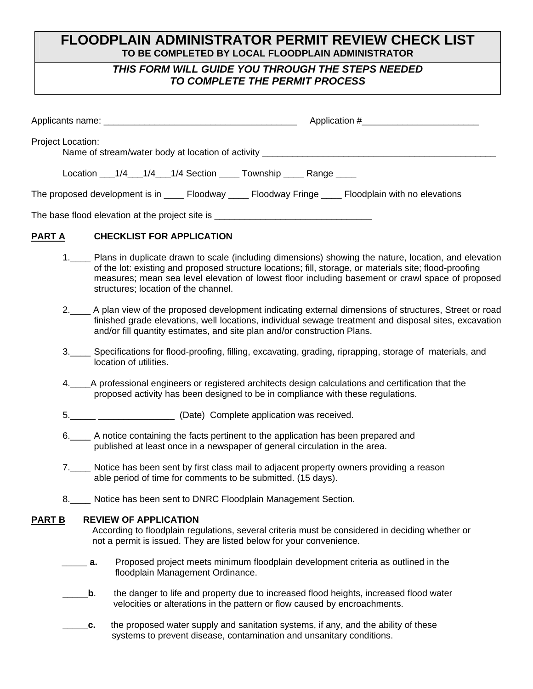# **FLOODPLAIN ADMINISTRATOR PERMIT REVIEW CHECK LIST TO BE COMPLETED BY LOCAL FLOODPLAIN ADMINISTRATOR**

# *THIS FORM WILL GUIDE YOU THROUGH THE STEPS NEEDED TO COMPLETE THE PERMIT PROCESS*

| <b>Project Location:</b> | Name of stream/water body at location of activity ______________________________                                                                                                                                                                                                                                       |
|--------------------------|------------------------------------------------------------------------------------------------------------------------------------------------------------------------------------------------------------------------------------------------------------------------------------------------------------------------|
|                          | Location 1/4 1/4 1/4 Section Township Range                                                                                                                                                                                                                                                                            |
|                          | The proposed development is in _______ Floodway _______ Floodway Fringe _______ Floodplain with no elevations                                                                                                                                                                                                          |
|                          | The base flood elevation at the project site is ________________________________                                                                                                                                                                                                                                       |
| <b>PART A</b>            | <b>CHECKLIST FOR APPLICATION</b>                                                                                                                                                                                                                                                                                       |
|                          | 1. Plans in duplicate drawn to scale (including dimensions) showing the nature, location, and elevation<br>of the lot: existing and proposed structure locations; fill, storage, or materials site; flood-proofing<br>measures; mean sea level elevation of lowest floor including basement or crawl space of proposed |

- 2.\_\_\_\_ A plan view of the proposed development indicating external dimensions of structures, Street or road finished grade elevations, well locations, individual sewage treatment and disposal sites, excavation and/or fill quantity estimates, and site plan and/or construction Plans.
- 3.\_\_\_\_ Specifications for flood-proofing, filling, excavating, grading, riprapping, storage of materials, and location of utilities.
- 4.\_\_\_\_A professional engineers or registered architects design calculations and certification that the proposed activity has been designed to be in compliance with these regulations.
- 5.\_\_\_\_\_ \_\_\_\_\_\_\_\_\_\_\_\_\_\_\_ (Date) Complete application was received.

structures; location of the channel.

- 6.\_\_\_\_ A notice containing the facts pertinent to the application has been prepared and published at least once in a newspaper of general circulation in the area.
- 7.\_\_\_\_ Notice has been sent by first class mail to adjacent property owners providing a reason able period of time for comments to be submitted. (15 days).
- 8.\_\_\_\_ Notice has been sent to DNRC Floodplain Management Section.

## **PART B REVIEW OF APPLICATION**

 According to floodplain regulations, several criteria must be considered in deciding whether or not a permit is issued. They are listed below for your convenience.

- **a.** Proposed project meets minimum floodplain development criteria as outlined in the floodplain Management Ordinance.
- \_\_\_\_\_**b**. the danger to life and property due to increased flood heights, increased flood water velocities or alterations in the pattern or flow caused by encroachments.
- **\_\_\_\_\_c.** the proposed water supply and sanitation systems, if any, and the ability of these systems to prevent disease, contamination and unsanitary conditions.